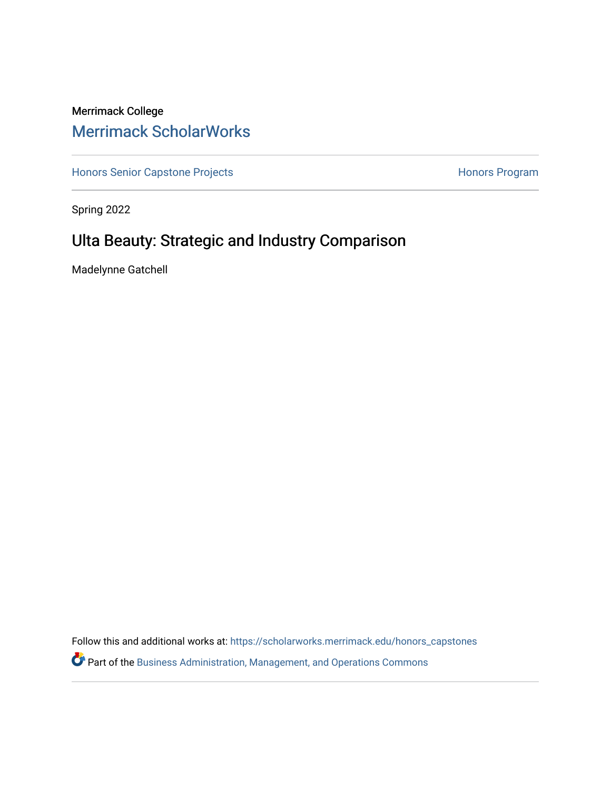# Merrimack College [Merrimack ScholarWorks](https://scholarworks.merrimack.edu/)

[Honors Senior Capstone Projects](https://scholarworks.merrimack.edu/honors_capstones) **Honors Program** Honors Program

Spring 2022

# Ulta Beauty: Strategic and Industry Comparison

Madelynne Gatchell

Follow this and additional works at: [https://scholarworks.merrimack.edu/honors\\_capstones](https://scholarworks.merrimack.edu/honors_capstones?utm_source=scholarworks.merrimack.edu%2Fhonors_capstones%2F63&utm_medium=PDF&utm_campaign=PDFCoverPages)

Part of the [Business Administration, Management, and Operations Commons](https://network.bepress.com/hgg/discipline/623?utm_source=scholarworks.merrimack.edu%2Fhonors_capstones%2F63&utm_medium=PDF&utm_campaign=PDFCoverPages)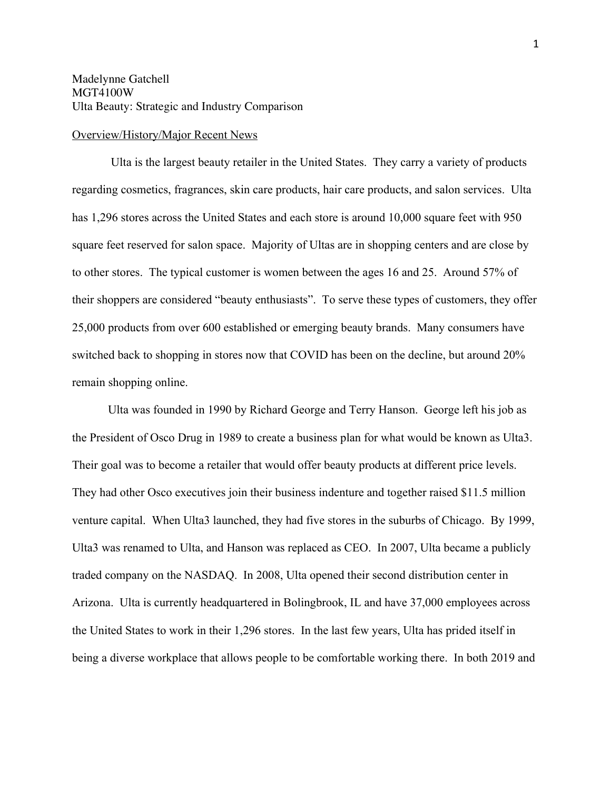## Overview/History/Major Recent News

Ulta is the largest beauty retailer in the United States. They carry a variety of products regarding cosmetics, fragrances, skin care products, hair care products, and salon services. Ulta has 1,296 stores across the United States and each store is around 10,000 square feet with 950 square feet reserved for salon space. Majority of Ultas are in shopping centers and are close by to other stores. The typical customer is women between the ages 16 and 25. Around 57% of their shoppers are considered "beauty enthusiasts". To serve these types of customers, they offer 25,000 products from over 600 established or emerging beauty brands. Many consumers have switched back to shopping in stores now that COVID has been on the decline, but around 20% remain shopping online.

Ulta was founded in 1990 by Richard George and Terry Hanson. George left his job as the President of Osco Drug in 1989 to create a business plan for what would be known as Ulta3. Their goal was to become a retailer that would offer beauty products at different price levels. They had other Osco executives join their business indenture and together raised \$11.5 million venture capital. When Ulta3 launched, they had five stores in the suburbs of Chicago. By 1999, Ulta3 was renamed to Ulta, and Hanson was replaced as CEO. In 2007, Ulta became a publicly traded company on the NASDAQ. In 2008, Ulta opened their second distribution center in Arizona. Ulta is currently headquartered in Bolingbrook, IL and have 37,000 employees across the United States to work in their 1,296 stores. In the last few years, Ulta has prided itself in being a diverse workplace that allows people to be comfortable working there. In both 2019 and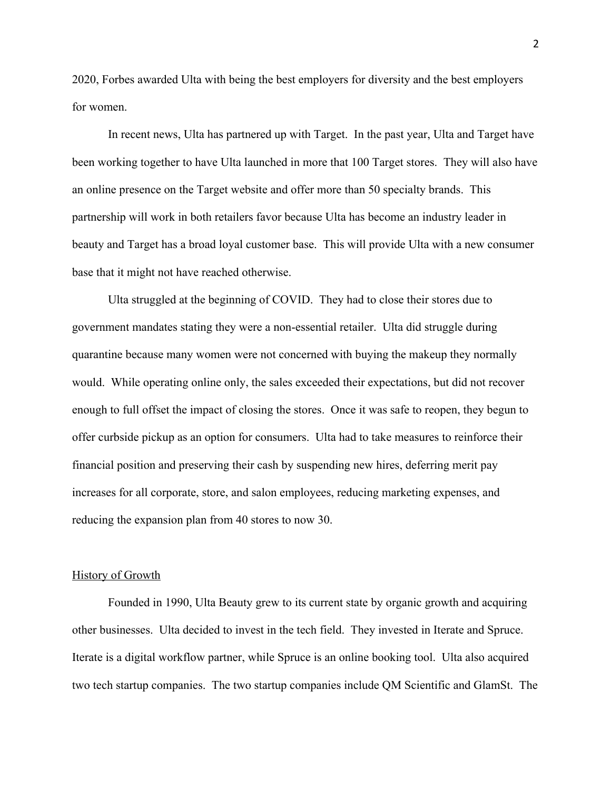2020, Forbes awarded Ulta with being the best employers for diversity and the best employers for women.

In recent news, Ulta has partnered up with Target. In the past year, Ulta and Target have been working together to have Ulta launched in more that 100 Target stores. They will also have an online presence on the Target website and offer more than 50 specialty brands. This partnership will work in both retailers favor because Ulta has become an industry leader in beauty and Target has a broad loyal customer base. This will provide Ulta with a new consumer base that it might not have reached otherwise.

Ulta struggled at the beginning of COVID. They had to close their stores due to government mandates stating they were a non-essential retailer. Ulta did struggle during quarantine because many women were not concerned with buying the makeup they normally would. While operating online only, the sales exceeded their expectations, but did not recover enough to full offset the impact of closing the stores. Once it was safe to reopen, they begun to offer curbside pickup as an option for consumers. Ulta had to take measures to reinforce their financial position and preserving their cash by suspending new hires, deferring merit pay increases for all corporate, store, and salon employees, reducing marketing expenses, and reducing the expansion plan from 40 stores to now 30.

## History of Growth

Founded in 1990, Ulta Beauty grew to its current state by organic growth and acquiring other businesses. Ulta decided to invest in the tech field. They invested in Iterate and Spruce. Iterate is a digital workflow partner, while Spruce is an online booking tool. Ulta also acquired two tech startup companies. The two startup companies include QM Scientific and GlamSt. The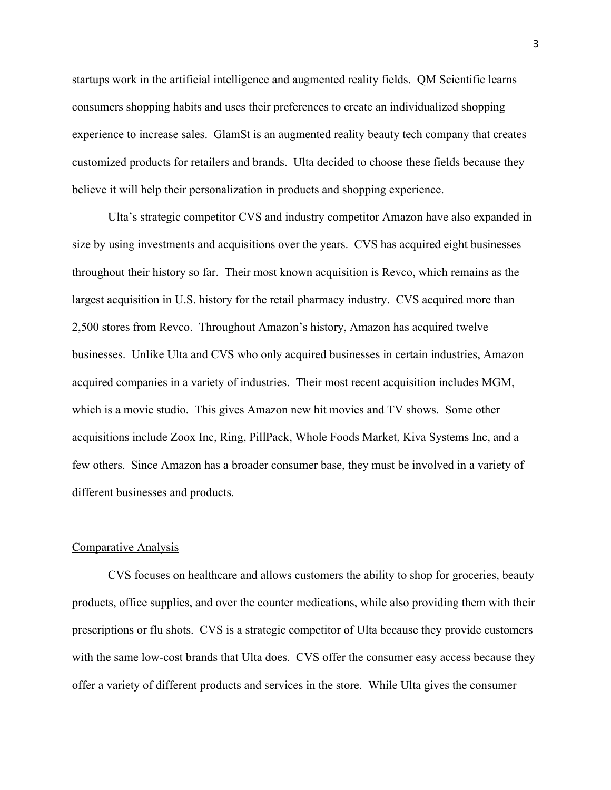startups work in the artificial intelligence and augmented reality fields. QM Scientific learns consumers shopping habits and uses their preferences to create an individualized shopping experience to increase sales. GlamSt is an augmented reality beauty tech company that creates customized products for retailers and brands. Ulta decided to choose these fields because they believe it will help their personalization in products and shopping experience.

Ulta's strategic competitor CVS and industry competitor Amazon have also expanded in size by using investments and acquisitions over the years. CVS has acquired eight businesses throughout their history so far. Their most known acquisition is Revco, which remains as the largest acquisition in U.S. history for the retail pharmacy industry. CVS acquired more than 2,500 stores from Revco. Throughout Amazon's history, Amazon has acquired twelve businesses. Unlike Ulta and CVS who only acquired businesses in certain industries, Amazon acquired companies in a variety of industries. Their most recent acquisition includes MGM, which is a movie studio. This gives Amazon new hit movies and TV shows. Some other acquisitions include Zoox Inc, Ring, PillPack, Whole Foods Market, Kiva Systems Inc, and a few others. Since Amazon has a broader consumer base, they must be involved in a variety of different businesses and products.

## Comparative Analysis

CVS focuses on healthcare and allows customers the ability to shop for groceries, beauty products, office supplies, and over the counter medications, while also providing them with their prescriptions or flu shots. CVS is a strategic competitor of Ulta because they provide customers with the same low-cost brands that Ulta does. CVS offer the consumer easy access because they offer a variety of different products and services in the store. While Ulta gives the consumer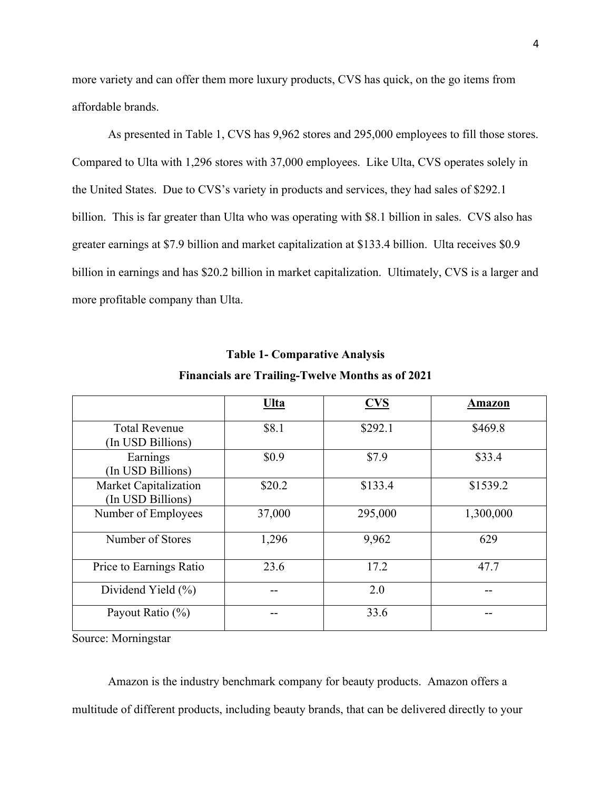more variety and can offer them more luxury products, CVS has quick, on the go items from affordable brands.

As presented in Table 1, CVS has 9,962 stores and 295,000 employees to fill those stores. Compared to Ulta with 1,296 stores with 37,000 employees. Like Ulta, CVS operates solely in the United States. Due to CVS's variety in products and services, they had sales of \$292.1 billion. This is far greater than Ulta who was operating with \$8.1 billion in sales. CVS also has greater earnings at \$7.9 billion and market capitalization at \$133.4 billion. Ulta receives \$0.9 billion in earnings and has \$20.2 billion in market capitalization. Ultimately, CVS is a larger and more profitable company than Ulta.

|                                            | <u>Ulta</u> | $CVS$   | Amazon    |
|--------------------------------------------|-------------|---------|-----------|
| <b>Total Revenue</b><br>(In USD Billions)  | \$8.1       | \$292.1 | \$469.8   |
| Earnings<br>(In USD Billions)              | \$0.9       | \$7.9   | \$33.4    |
| Market Capitalization<br>(In USD Billions) | \$20.2      | \$133.4 | \$1539.2  |
| Number of Employees                        | 37,000      | 295,000 | 1,300,000 |
| Number of Stores                           | 1,296       | 9,962   | 629       |
| Price to Earnings Ratio                    | 23.6        | 17.2    | 47.7      |
| Dividend Yield (%)                         |             | 2.0     |           |
| Payout Ratio (%)                           |             | 33.6    |           |

# **Table 1- Comparative Analysis**

**Financials are Trailing-Twelve Months as of 2021**

Source: Morningstar

Amazon is the industry benchmark company for beauty products. Amazon offers a multitude of different products, including beauty brands, that can be delivered directly to your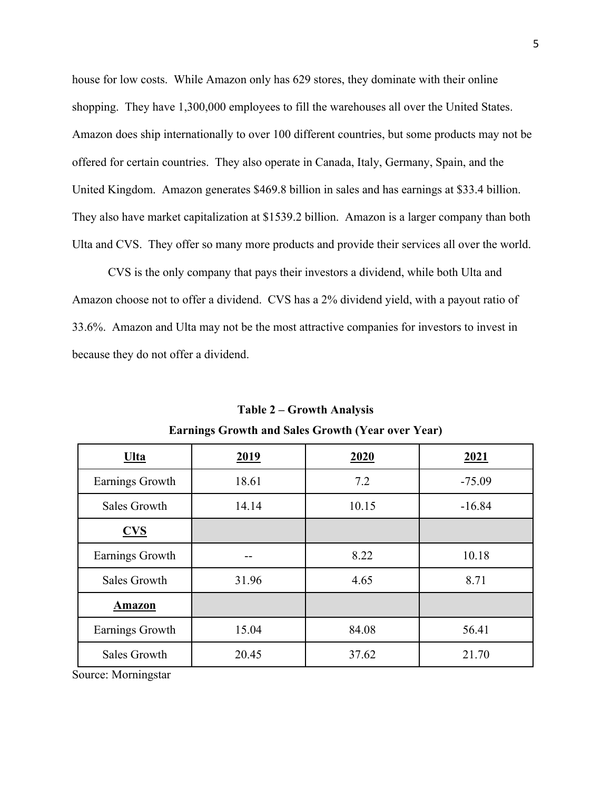house for low costs. While Amazon only has 629 stores, they dominate with their online shopping. They have 1,300,000 employees to fill the warehouses all over the United States. Amazon does ship internationally to over 100 different countries, but some products may not be offered for certain countries. They also operate in Canada, Italy, Germany, Spain, and the United Kingdom. Amazon generates \$469.8 billion in sales and has earnings at \$33.4 billion. They also have market capitalization at \$1539.2 billion. Amazon is a larger company than both Ulta and CVS. They offer so many more products and provide their services all over the world.

CVS is the only company that pays their investors a dividend, while both Ulta and Amazon choose not to offer a dividend. CVS has a 2% dividend yield, with a payout ratio of 33.6%. Amazon and Ulta may not be the most attractive companies for investors to invest in because they do not offer a dividend.

| <u>Ulta</u>     | <u>2019</u> | 2020  | <u>2021</u> |
|-----------------|-------------|-------|-------------|
| Earnings Growth | 18.61       | 7.2   | $-75.09$    |
| Sales Growth    | 14.14       | 10.15 | $-16.84$    |
| CVS             |             |       |             |
| Earnings Growth |             | 8.22  | 10.18       |
| Sales Growth    | 31.96       | 4.65  | 8.71        |
| <b>Amazon</b>   |             |       |             |
| Earnings Growth | 15.04       | 84.08 | 56.41       |
| Sales Growth    | 20.45       | 37.62 | 21.70       |

**Table 2 – Growth Analysis Earnings Growth and Sales Growth (Year over Year)**

Source: Morningstar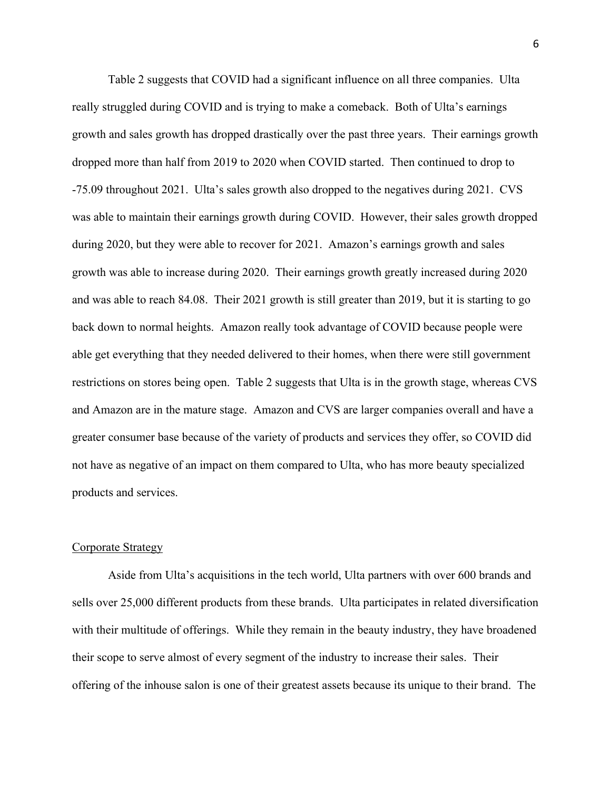Table 2 suggests that COVID had a significant influence on all three companies. Ulta really struggled during COVID and is trying to make a comeback. Both of Ulta's earnings growth and sales growth has dropped drastically over the past three years. Their earnings growth dropped more than half from 2019 to 2020 when COVID started. Then continued to drop to -75.09 throughout 2021. Ulta's sales growth also dropped to the negatives during 2021. CVS was able to maintain their earnings growth during COVID. However, their sales growth dropped during 2020, but they were able to recover for 2021. Amazon's earnings growth and sales growth was able to increase during 2020. Their earnings growth greatly increased during 2020 and was able to reach 84.08. Their 2021 growth is still greater than 2019, but it is starting to go back down to normal heights. Amazon really took advantage of COVID because people were able get everything that they needed delivered to their homes, when there were still government restrictions on stores being open. Table 2 suggests that Ulta is in the growth stage, whereas CVS and Amazon are in the mature stage. Amazon and CVS are larger companies overall and have a greater consumer base because of the variety of products and services they offer, so COVID did not have as negative of an impact on them compared to Ulta, who has more beauty specialized products and services.

## Corporate Strategy

Aside from Ulta's acquisitions in the tech world, Ulta partners with over 600 brands and sells over 25,000 different products from these brands. Ulta participates in related diversification with their multitude of offerings. While they remain in the beauty industry, they have broadened their scope to serve almost of every segment of the industry to increase their sales. Their offering of the inhouse salon is one of their greatest assets because its unique to their brand. The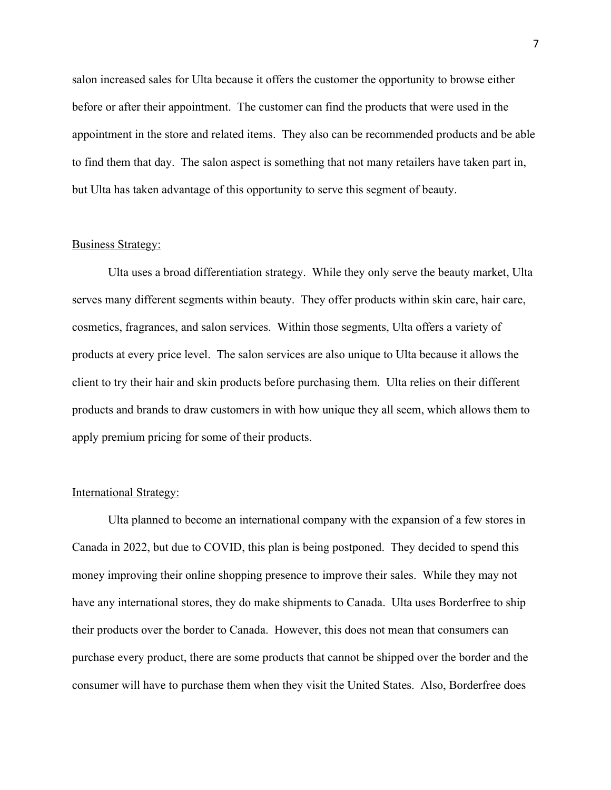salon increased sales for Ulta because it offers the customer the opportunity to browse either before or after their appointment. The customer can find the products that were used in the appointment in the store and related items. They also can be recommended products and be able to find them that day. The salon aspect is something that not many retailers have taken part in, but Ulta has taken advantage of this opportunity to serve this segment of beauty.

### Business Strategy:

Ulta uses a broad differentiation strategy. While they only serve the beauty market, Ulta serves many different segments within beauty. They offer products within skin care, hair care, cosmetics, fragrances, and salon services. Within those segments, Ulta offers a variety of products at every price level. The salon services are also unique to Ulta because it allows the client to try their hair and skin products before purchasing them. Ulta relies on their different products and brands to draw customers in with how unique they all seem, which allows them to apply premium pricing for some of their products.

## International Strategy:

Ulta planned to become an international company with the expansion of a few stores in Canada in 2022, but due to COVID, this plan is being postponed. They decided to spend this money improving their online shopping presence to improve their sales. While they may not have any international stores, they do make shipments to Canada. Ulta uses Borderfree to ship their products over the border to Canada. However, this does not mean that consumers can purchase every product, there are some products that cannot be shipped over the border and the consumer will have to purchase them when they visit the United States. Also, Borderfree does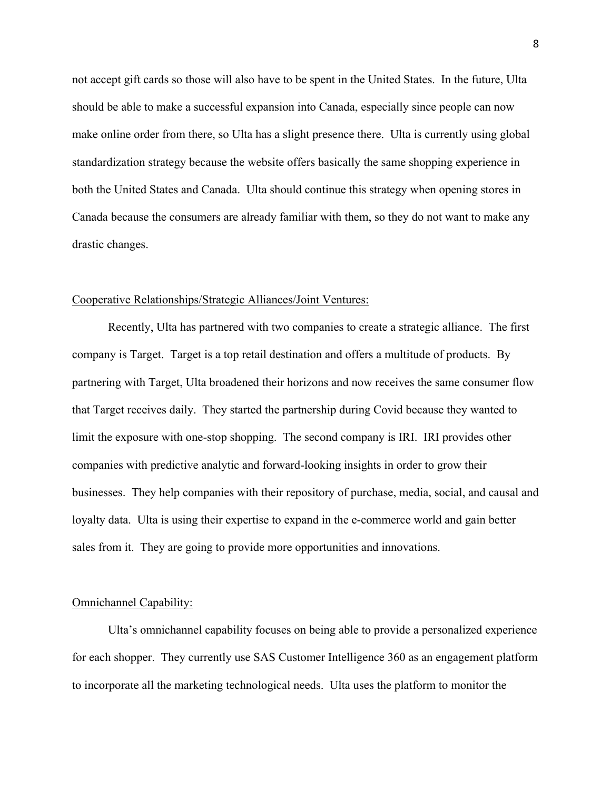not accept gift cards so those will also have to be spent in the United States. In the future, Ulta should be able to make a successful expansion into Canada, especially since people can now make online order from there, so Ulta has a slight presence there. Ulta is currently using global standardization strategy because the website offers basically the same shopping experience in both the United States and Canada. Ulta should continue this strategy when opening stores in Canada because the consumers are already familiar with them, so they do not want to make any drastic changes.

#### Cooperative Relationships/Strategic Alliances/Joint Ventures:

Recently, Ulta has partnered with two companies to create a strategic alliance. The first company is Target. Target is a top retail destination and offers a multitude of products. By partnering with Target, Ulta broadened their horizons and now receives the same consumer flow that Target receives daily. They started the partnership during Covid because they wanted to limit the exposure with one-stop shopping. The second company is IRI. IRI provides other companies with predictive analytic and forward-looking insights in order to grow their businesses. They help companies with their repository of purchase, media, social, and causal and loyalty data. Ulta is using their expertise to expand in the e-commerce world and gain better sales from it. They are going to provide more opportunities and innovations.

# Omnichannel Capability:

Ulta's omnichannel capability focuses on being able to provide a personalized experience for each shopper. They currently use SAS Customer Intelligence 360 as an engagement platform to incorporate all the marketing technological needs. Ulta uses the platform to monitor the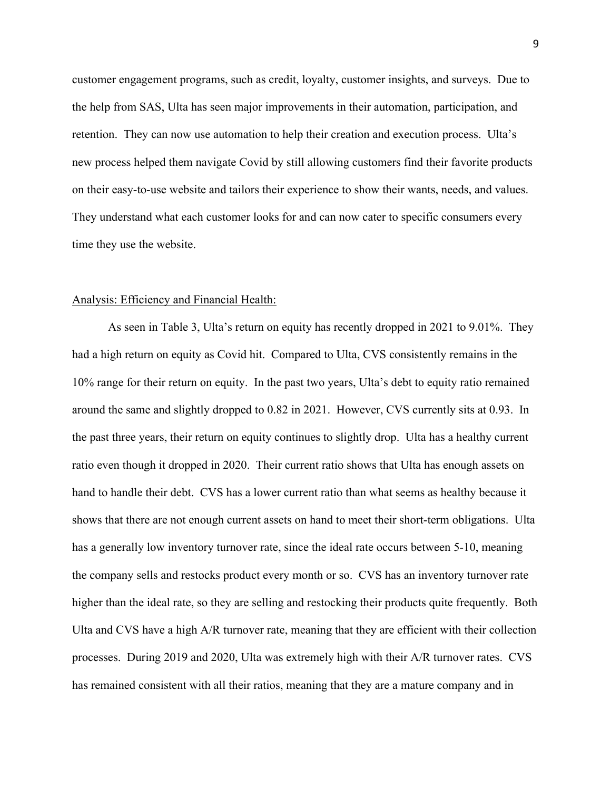customer engagement programs, such as credit, loyalty, customer insights, and surveys. Due to the help from SAS, Ulta has seen major improvements in their automation, participation, and retention. They can now use automation to help their creation and execution process. Ulta's new process helped them navigate Covid by still allowing customers find their favorite products on their easy-to-use website and tailors their experience to show their wants, needs, and values. They understand what each customer looks for and can now cater to specific consumers every time they use the website.

#### Analysis: Efficiency and Financial Health:

As seen in Table 3, Ulta's return on equity has recently dropped in 2021 to 9.01%. They had a high return on equity as Covid hit. Compared to Ulta, CVS consistently remains in the 10% range for their return on equity. In the past two years, Ulta's debt to equity ratio remained around the same and slightly dropped to 0.82 in 2021. However, CVS currently sits at 0.93. In the past three years, their return on equity continues to slightly drop. Ulta has a healthy current ratio even though it dropped in 2020. Their current ratio shows that Ulta has enough assets on hand to handle their debt. CVS has a lower current ratio than what seems as healthy because it shows that there are not enough current assets on hand to meet their short-term obligations. Ulta has a generally low inventory turnover rate, since the ideal rate occurs between 5-10, meaning the company sells and restocks product every month or so. CVS has an inventory turnover rate higher than the ideal rate, so they are selling and restocking their products quite frequently. Both Ulta and CVS have a high A/R turnover rate, meaning that they are efficient with their collection processes. During 2019 and 2020, Ulta was extremely high with their A/R turnover rates. CVS has remained consistent with all their ratios, meaning that they are a mature company and in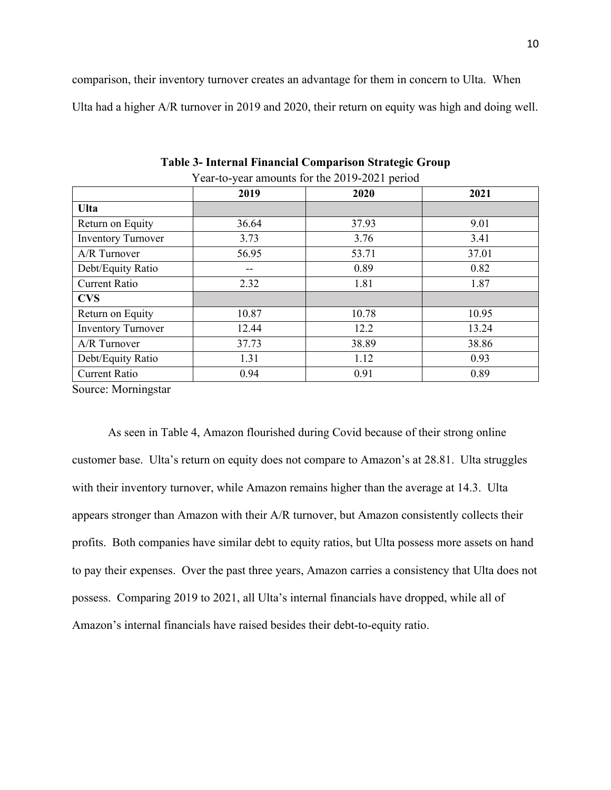comparison, their inventory turnover creates an advantage for them in concern to Ulta. When Ulta had a higher A/R turnover in 2019 and 2020, their return on equity was high and doing well.

| $\frac{1}{2}$ can allocated for the $\frac{1}{2}$ $\frac{1}{2}$ $\frac{1}{2}$ $\frac{1}{2}$ $\frac{1}{2}$ $\frac{1}{2}$ $\frac{1}{2}$ $\frac{1}{2}$ |       |       |       |  |  |
|-----------------------------------------------------------------------------------------------------------------------------------------------------|-------|-------|-------|--|--|
|                                                                                                                                                     | 2019  | 2020  | 2021  |  |  |
| <b>Ulta</b>                                                                                                                                         |       |       |       |  |  |
| Return on Equity                                                                                                                                    | 36.64 | 37.93 | 9.01  |  |  |
| <b>Inventory Turnover</b>                                                                                                                           | 3.73  | 3.76  | 3.41  |  |  |
| A/R Turnover                                                                                                                                        | 56.95 | 53.71 | 37.01 |  |  |
| Debt/Equity Ratio                                                                                                                                   | --    | 0.89  | 0.82  |  |  |
| <b>Current Ratio</b>                                                                                                                                | 2.32  | 1.81  | 1.87  |  |  |
| <b>CVS</b>                                                                                                                                          |       |       |       |  |  |
| Return on Equity                                                                                                                                    | 10.87 | 10.78 | 10.95 |  |  |
| <b>Inventory Turnover</b>                                                                                                                           | 12.44 | 12.2  | 13.24 |  |  |
| A/R Turnover                                                                                                                                        | 37.73 | 38.89 | 38.86 |  |  |
| Debt/Equity Ratio                                                                                                                                   | 1.31  | 1.12  | 0.93  |  |  |
| <b>Current Ratio</b>                                                                                                                                | 0.94  | 0.91  | 0.89  |  |  |

**Table 3- Internal Financial Comparison Strategic Group**

Year-to-year amounts for the 2019-2021 period

Source: Morningstar

As seen in Table 4, Amazon flourished during Covid because of their strong online customer base. Ulta's return on equity does not compare to Amazon's at 28.81. Ulta struggles with their inventory turnover, while Amazon remains higher than the average at 14.3. Ulta appears stronger than Amazon with their A/R turnover, but Amazon consistently collects their profits. Both companies have similar debt to equity ratios, but Ulta possess more assets on hand to pay their expenses. Over the past three years, Amazon carries a consistency that Ulta does not possess. Comparing 2019 to 2021, all Ulta's internal financials have dropped, while all of Amazon's internal financials have raised besides their debt-to-equity ratio.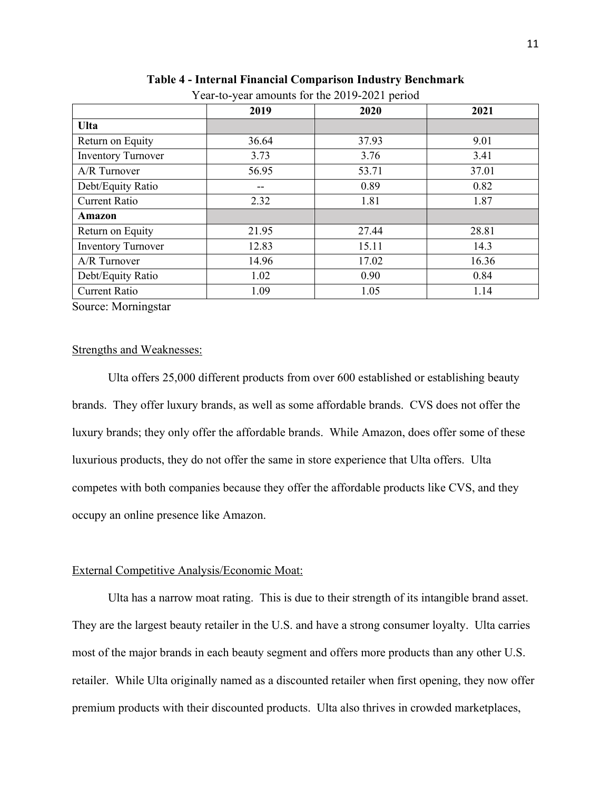|                           | 2019  | 2020  | 2021  |  |
|---------------------------|-------|-------|-------|--|
| <b>Ulta</b>               |       |       |       |  |
| Return on Equity          | 36.64 | 37.93 | 9.01  |  |
| <b>Inventory Turnover</b> | 3.73  | 3.76  | 3.41  |  |
| A/R Turnover              | 56.95 | 53.71 | 37.01 |  |
| Debt/Equity Ratio         | --    | 0.89  | 0.82  |  |
| <b>Current Ratio</b>      | 2.32  | 1.81  | 1.87  |  |
| Amazon                    |       |       |       |  |
| Return on Equity          | 21.95 | 27.44 | 28.81 |  |
| <b>Inventory Turnover</b> | 12.83 | 15.11 | 14.3  |  |
| A/R Turnover              | 14.96 | 17.02 | 16.36 |  |
| Debt/Equity Ratio         | 1.02  | 0.90  | 0.84  |  |
| <b>Current Ratio</b>      | 1.09  | 1.05  | 1.14  |  |

# **Table 4 - Internal Financial Comparison Industry Benchmark**

Year-to-year amounts for the 2019-2021 period

Source: Morningstar

## Strengths and Weaknesses:

Ulta offers 25,000 different products from over 600 established or establishing beauty brands. They offer luxury brands, as well as some affordable brands. CVS does not offer the luxury brands; they only offer the affordable brands. While Amazon, does offer some of these luxurious products, they do not offer the same in store experience that Ulta offers. Ulta competes with both companies because they offer the affordable products like CVS, and they occupy an online presence like Amazon.

## External Competitive Analysis/Economic Moat:

Ulta has a narrow moat rating. This is due to their strength of its intangible brand asset. They are the largest beauty retailer in the U.S. and have a strong consumer loyalty. Ulta carries most of the major brands in each beauty segment and offers more products than any other U.S. retailer. While Ulta originally named as a discounted retailer when first opening, they now offer premium products with their discounted products. Ulta also thrives in crowded marketplaces,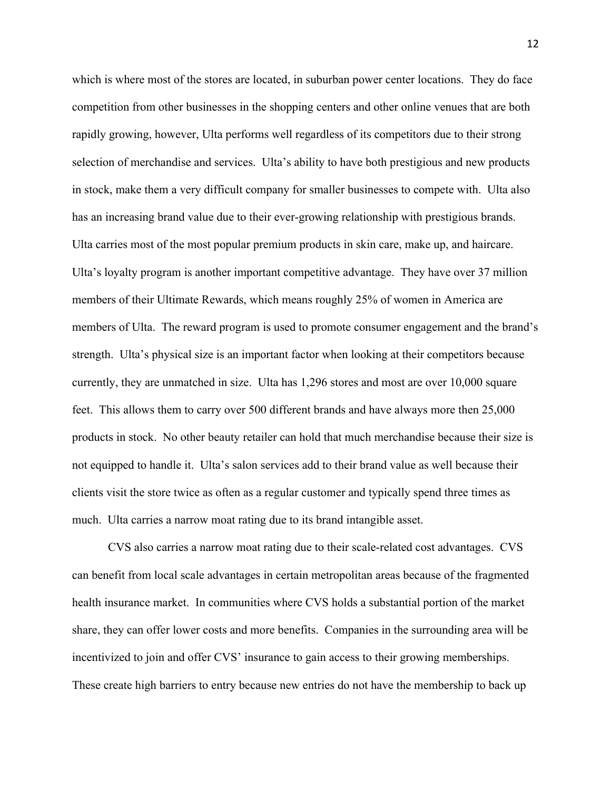which is where most of the stores are located, in suburban power center locations. They do face competition from other businesses in the shopping centers and other online venues that are both rapidly growing, however, Ulta performs well regardless of its competitors due to their strong selection of merchandise and services. Ulta's ability to have both prestigious and new products in stock, make them a very difficult company for smaller businesses to compete with. Ulta also has an increasing brand value due to their ever-growing relationship with prestigious brands. Ulta carries most of the most popular premium products in skin care, make up, and haircare. Ulta's loyalty program is another important competitive advantage. They have over 37 million members of their Ultimate Rewards, which means roughly 25% of women in America are members of Ulta. The reward program is used to promote consumer engagement and the brand's strength. Ulta's physical size is an important factor when looking at their competitors because currently, they are unmatched in size. Ulta has 1,296 stores and most are over 10,000 square feet. This allows them to carry over 500 different brands and have always more then 25,000 products in stock. No other beauty retailer can hold that much merchandise because their size is not equipped to handle it. Ulta's salon services add to their brand value as well because their clients visit the store twice as often as a regular customer and typically spend three times as much. Ulta carries a narrow moat rating due to its brand intangible asset.

CVS also carries a narrow moat rating due to their scale-related cost advantages. CVS can benefit from local scale advantages in certain metropolitan areas because of the fragmented health insurance market. In communities where CVS holds a substantial portion of the market share, they can offer lower costs and more benefits. Companies in the surrounding area will be incentivized to join and offer CVS' insurance to gain access to their growing memberships. These create high barriers to entry because new entries do not have the membership to back up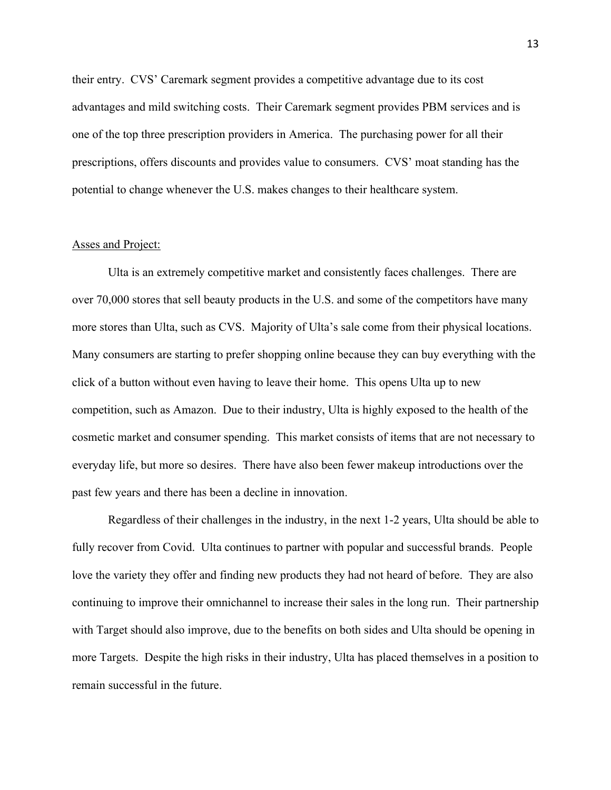their entry. CVS' Caremark segment provides a competitive advantage due to its cost advantages and mild switching costs. Their Caremark segment provides PBM services and is one of the top three prescription providers in America. The purchasing power for all their prescriptions, offers discounts and provides value to consumers. CVS' moat standing has the potential to change whenever the U.S. makes changes to their healthcare system.

### Asses and Project:

Ulta is an extremely competitive market and consistently faces challenges. There are over 70,000 stores that sell beauty products in the U.S. and some of the competitors have many more stores than Ulta, such as CVS. Majority of Ulta's sale come from their physical locations. Many consumers are starting to prefer shopping online because they can buy everything with the click of a button without even having to leave their home. This opens Ulta up to new competition, such as Amazon. Due to their industry, Ulta is highly exposed to the health of the cosmetic market and consumer spending. This market consists of items that are not necessary to everyday life, but more so desires. There have also been fewer makeup introductions over the past few years and there has been a decline in innovation.

Regardless of their challenges in the industry, in the next 1-2 years, Ulta should be able to fully recover from Covid. Ulta continues to partner with popular and successful brands. People love the variety they offer and finding new products they had not heard of before. They are also continuing to improve their omnichannel to increase their sales in the long run. Their partnership with Target should also improve, due to the benefits on both sides and Ulta should be opening in more Targets. Despite the high risks in their industry, Ulta has placed themselves in a position to remain successful in the future.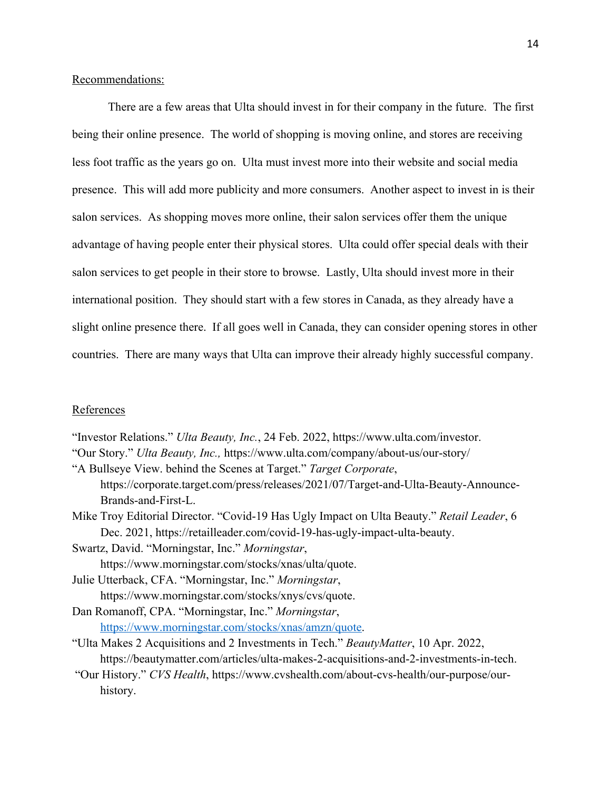# Recommendations:

There are a few areas that Ulta should invest in for their company in the future. The first being their online presence. The world of shopping is moving online, and stores are receiving less foot traffic as the years go on. Ulta must invest more into their website and social media presence. This will add more publicity and more consumers. Another aspect to invest in is their salon services. As shopping moves more online, their salon services offer them the unique advantage of having people enter their physical stores. Ulta could offer special deals with their salon services to get people in their store to browse. Lastly, Ulta should invest more in their international position. They should start with a few stores in Canada, as they already have a slight online presence there. If all goes well in Canada, they can consider opening stores in other countries. There are many ways that Ulta can improve their already highly successful company.

# References

"Investor Relations." *Ulta Beauty, Inc.*, 24 Feb. 2022, https://www.ulta.com/investor.

"Our Story." *Ulta Beauty, Inc.,* https://www.ulta.com/company/about-us/our-story/

"A Bullseye View. behind the Scenes at Target." *Target Corporate*, https://corporate.target.com/press/releases/2021/07/Target-and-Ulta-Beauty-Announce-Brands-and-First-L.

Mike Troy Editorial Director. "Covid-19 Has Ugly Impact on Ulta Beauty." *Retail Leader*, 6 Dec. 2021, https://retailleader.com/covid-19-has-ugly-impact-ulta-beauty.

Swartz, David. "Morningstar, Inc." *Morningstar*, https://www.morningstar.com/stocks/xnas/ulta/quote.

- Julie Utterback, CFA. "Morningstar, Inc." *Morningstar*, https://www.morningstar.com/stocks/xnys/cvs/quote.
- Dan Romanoff, CPA. "Morningstar, Inc." *Morningstar*, https://www.morningstar.com/stocks/xnas/amzn/quote.
- "Ulta Makes 2 Acquisitions and 2 Investments in Tech." *BeautyMatter*, 10 Apr. 2022, https://beautymatter.com/articles/ulta-makes-2-acquisitions-and-2-investments-in-tech.
- "Our History." *CVS Health*, https://www.cvshealth.com/about-cvs-health/our-purpose/ourhistory.